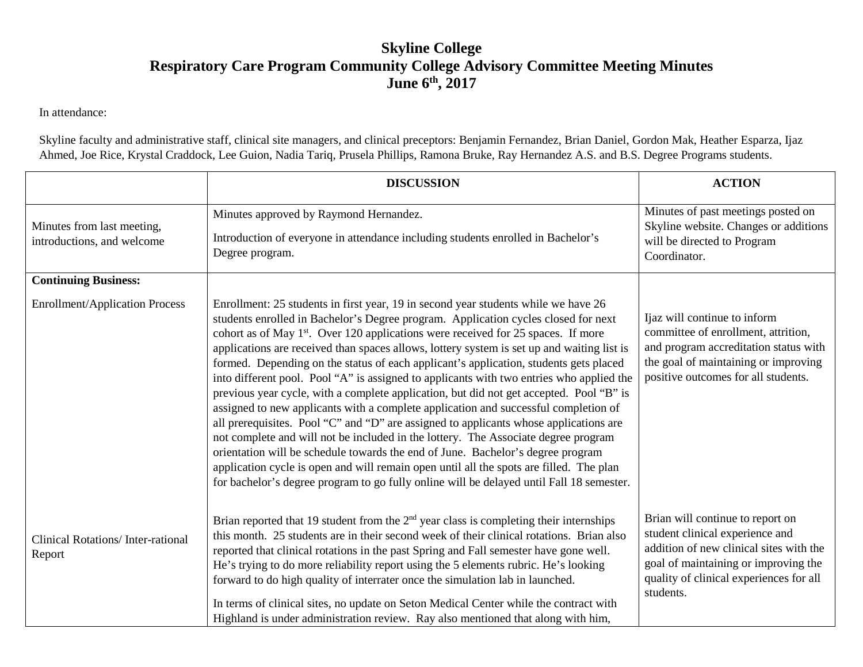## **Skyline College Respiratory Care Program Community College Advisory Committee Meeting Minutes June 6th , 2017**

In attendance:

Skyline faculty and administrative staff, clinical site managers, and clinical preceptors: Benjamin Fernandez, Brian Daniel, Gordon Mak, Heather Esparza, Ijaz Ahmed, Joe Rice, Krystal Craddock, Lee Guion, Nadia Tariq, Prusela Phillips, Ramona Bruke, Ray Hernandez A.S. and B.S. Degree Programs students.

|                                                          | <b>DISCUSSION</b>                                                                                                                                                                                                                                                                                                                                                                                                                                                                                                                                                                                                                                                                                                                                                                                                                                                                                                                                                                                                                                                                                                                                                                                       | <b>ACTION</b>                                                                                                                                                                                                  |
|----------------------------------------------------------|---------------------------------------------------------------------------------------------------------------------------------------------------------------------------------------------------------------------------------------------------------------------------------------------------------------------------------------------------------------------------------------------------------------------------------------------------------------------------------------------------------------------------------------------------------------------------------------------------------------------------------------------------------------------------------------------------------------------------------------------------------------------------------------------------------------------------------------------------------------------------------------------------------------------------------------------------------------------------------------------------------------------------------------------------------------------------------------------------------------------------------------------------------------------------------------------------------|----------------------------------------------------------------------------------------------------------------------------------------------------------------------------------------------------------------|
| Minutes from last meeting,<br>introductions, and welcome | Minutes approved by Raymond Hernandez.<br>Introduction of everyone in attendance including students enrolled in Bachelor's<br>Degree program.                                                                                                                                                                                                                                                                                                                                                                                                                                                                                                                                                                                                                                                                                                                                                                                                                                                                                                                                                                                                                                                           | Minutes of past meetings posted on<br>Skyline website. Changes or additions<br>will be directed to Program                                                                                                     |
|                                                          |                                                                                                                                                                                                                                                                                                                                                                                                                                                                                                                                                                                                                                                                                                                                                                                                                                                                                                                                                                                                                                                                                                                                                                                                         | Coordinator.                                                                                                                                                                                                   |
| <b>Continuing Business:</b>                              |                                                                                                                                                                                                                                                                                                                                                                                                                                                                                                                                                                                                                                                                                                                                                                                                                                                                                                                                                                                                                                                                                                                                                                                                         |                                                                                                                                                                                                                |
| <b>Enrollment/Application Process</b>                    | Enrollment: 25 students in first year, 19 in second year students while we have 26<br>students enrolled in Bachelor's Degree program. Application cycles closed for next<br>cohort as of May 1 <sup>st</sup> . Over 120 applications were received for 25 spaces. If more<br>applications are received than spaces allows, lottery system is set up and waiting list is<br>formed. Depending on the status of each applicant's application, students gets placed<br>into different pool. Pool "A" is assigned to applicants with two entries who applied the<br>previous year cycle, with a complete application, but did not get accepted. Pool "B" is<br>assigned to new applicants with a complete application and successful completion of<br>all prerequisites. Pool "C" and "D" are assigned to applicants whose applications are<br>not complete and will not be included in the lottery. The Associate degree program<br>orientation will be schedule towards the end of June. Bachelor's degree program<br>application cycle is open and will remain open until all the spots are filled. The plan<br>for bachelor's degree program to go fully online will be delayed until Fall 18 semester. | Ijaz will continue to inform<br>committee of enrollment, attrition,<br>and program accreditation status with<br>the goal of maintaining or improving<br>positive outcomes for all students.                    |
| <b>Clinical Rotations/Inter-rational</b><br>Report       | Brian reported that 19 student from the $2nd$ year class is completing their internships<br>this month. 25 students are in their second week of their clinical rotations. Brian also<br>reported that clinical rotations in the past Spring and Fall semester have gone well.<br>He's trying to do more reliability report using the 5 elements rubric. He's looking<br>forward to do high quality of interrater once the simulation lab in launched.<br>In terms of clinical sites, no update on Seton Medical Center while the contract with<br>Highland is under administration review. Ray also mentioned that along with him,                                                                                                                                                                                                                                                                                                                                                                                                                                                                                                                                                                      | Brian will continue to report on<br>student clinical experience and<br>addition of new clinical sites with the<br>goal of maintaining or improving the<br>quality of clinical experiences for all<br>students. |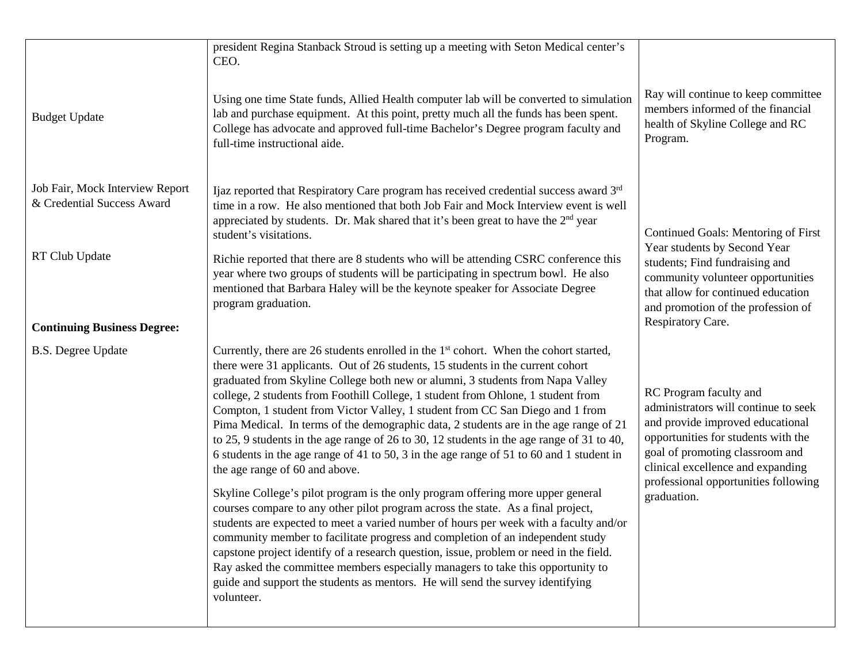|                                                               | president Regina Stanback Stroud is setting up a meeting with Seton Medical center's<br>CEO.                                                                                                                                                                                                                                                                                                                                                                                                                                                                                                                                                                                                                                                                                                                                                                                                                                                                                                                                                                                                                                                                                                                                                                                              |                                                                                                                                                                                                                                                                          |
|---------------------------------------------------------------|-------------------------------------------------------------------------------------------------------------------------------------------------------------------------------------------------------------------------------------------------------------------------------------------------------------------------------------------------------------------------------------------------------------------------------------------------------------------------------------------------------------------------------------------------------------------------------------------------------------------------------------------------------------------------------------------------------------------------------------------------------------------------------------------------------------------------------------------------------------------------------------------------------------------------------------------------------------------------------------------------------------------------------------------------------------------------------------------------------------------------------------------------------------------------------------------------------------------------------------------------------------------------------------------|--------------------------------------------------------------------------------------------------------------------------------------------------------------------------------------------------------------------------------------------------------------------------|
| <b>Budget Update</b>                                          | Using one time State funds, Allied Health computer lab will be converted to simulation<br>lab and purchase equipment. At this point, pretty much all the funds has been spent.<br>College has advocate and approved full-time Bachelor's Degree program faculty and<br>full-time instructional aide.                                                                                                                                                                                                                                                                                                                                                                                                                                                                                                                                                                                                                                                                                                                                                                                                                                                                                                                                                                                      | Ray will continue to keep committee<br>members informed of the financial<br>health of Skyline College and RC<br>Program.                                                                                                                                                 |
| Job Fair, Mock Interview Report<br>& Credential Success Award | Ijaz reported that Respiratory Care program has received credential success award 3rd<br>time in a row. He also mentioned that both Job Fair and Mock Interview event is well<br>appreciated by students. Dr. Mak shared that it's been great to have the 2 <sup>nd</sup> year<br>student's visitations.                                                                                                                                                                                                                                                                                                                                                                                                                                                                                                                                                                                                                                                                                                                                                                                                                                                                                                                                                                                  | Continued Goals: Mentoring of First<br>Year students by Second Year<br>students; Find fundraising and<br>community volunteer opportunities<br>that allow for continued education<br>and promotion of the profession of<br>Respiratory Care.                              |
| RT Club Update<br><b>Continuing Business Degree:</b>          | Richie reported that there are 8 students who will be attending CSRC conference this<br>year where two groups of students will be participating in spectrum bowl. He also<br>mentioned that Barbara Haley will be the keynote speaker for Associate Degree<br>program graduation.                                                                                                                                                                                                                                                                                                                                                                                                                                                                                                                                                                                                                                                                                                                                                                                                                                                                                                                                                                                                         |                                                                                                                                                                                                                                                                          |
|                                                               | Currently, there are 26 students enrolled in the $1st$ cohort. When the cohort started,                                                                                                                                                                                                                                                                                                                                                                                                                                                                                                                                                                                                                                                                                                                                                                                                                                                                                                                                                                                                                                                                                                                                                                                                   |                                                                                                                                                                                                                                                                          |
| <b>B.S. Degree Update</b>                                     | there were 31 applicants. Out of 26 students, 15 students in the current cohort<br>graduated from Skyline College both new or alumni, 3 students from Napa Valley<br>college, 2 students from Foothill College, 1 student from Ohlone, 1 student from<br>Compton, 1 student from Victor Valley, 1 student from CC San Diego and 1 from<br>Pima Medical. In terms of the demographic data, 2 students are in the age range of 21<br>to 25, 9 students in the age range of 26 to 30, 12 students in the age range of 31 to 40,<br>6 students in the age range of 41 to 50, 3 in the age range of 51 to 60 and 1 student in<br>the age range of 60 and above.<br>Skyline College's pilot program is the only program offering more upper general<br>courses compare to any other pilot program across the state. As a final project,<br>students are expected to meet a varied number of hours per week with a faculty and/or<br>community member to facilitate progress and completion of an independent study<br>capstone project identify of a research question, issue, problem or need in the field.<br>Ray asked the committee members especially managers to take this opportunity to<br>guide and support the students as mentors. He will send the survey identifying<br>volunteer. | RC Program faculty and<br>administrators will continue to seek<br>and provide improved educational<br>opportunities for students with the<br>goal of promoting classroom and<br>clinical excellence and expanding<br>professional opportunities following<br>graduation. |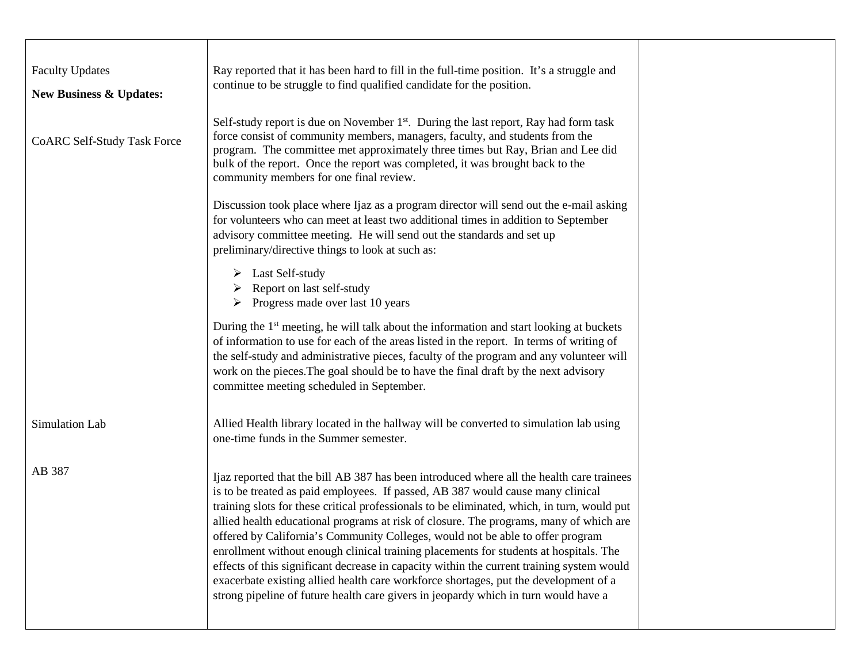| <b>Faculty Updates</b><br><b>New Business &amp; Updates:</b> | Ray reported that it has been hard to fill in the full-time position. It's a struggle and<br>continue to be struggle to find qualified candidate for the position.                                                                                                                                                                                                                                                                                                                                                                                                                                                                                                                                                                                                                                                           |  |
|--------------------------------------------------------------|------------------------------------------------------------------------------------------------------------------------------------------------------------------------------------------------------------------------------------------------------------------------------------------------------------------------------------------------------------------------------------------------------------------------------------------------------------------------------------------------------------------------------------------------------------------------------------------------------------------------------------------------------------------------------------------------------------------------------------------------------------------------------------------------------------------------------|--|
| <b>CoARC Self-Study Task Force</b>                           | Self-study report is due on November 1 <sup>st</sup> . During the last report, Ray had form task<br>force consist of community members, managers, faculty, and students from the<br>program. The committee met approximately three times but Ray, Brian and Lee did<br>bulk of the report. Once the report was completed, it was brought back to the<br>community members for one final review.                                                                                                                                                                                                                                                                                                                                                                                                                              |  |
|                                                              | Discussion took place where Ijaz as a program director will send out the e-mail asking<br>for volunteers who can meet at least two additional times in addition to September<br>advisory committee meeting. He will send out the standards and set up<br>preliminary/directive things to look at such as:                                                                                                                                                                                                                                                                                                                                                                                                                                                                                                                    |  |
|                                                              | $\triangleright$ Last Self-study<br>$\triangleright$ Report on last self-study<br>$\triangleright$ Progress made over last 10 years                                                                                                                                                                                                                                                                                                                                                                                                                                                                                                                                                                                                                                                                                          |  |
|                                                              | During the 1 <sup>st</sup> meeting, he will talk about the information and start looking at buckets<br>of information to use for each of the areas listed in the report. In terms of writing of<br>the self-study and administrative pieces, faculty of the program and any volunteer will<br>work on the pieces. The goal should be to have the final draft by the next advisory<br>committee meeting scheduled in September.                                                                                                                                                                                                                                                                                                                                                                                               |  |
| Simulation Lab                                               | Allied Health library located in the hallway will be converted to simulation lab using<br>one-time funds in the Summer semester.                                                                                                                                                                                                                                                                                                                                                                                                                                                                                                                                                                                                                                                                                             |  |
| AB 387                                                       | Ijaz reported that the bill AB 387 has been introduced where all the health care trainees<br>is to be treated as paid employees. If passed, AB 387 would cause many clinical<br>training slots for these critical professionals to be eliminated, which, in turn, would put<br>allied health educational programs at risk of closure. The programs, many of which are<br>offered by California's Community Colleges, would not be able to offer program<br>enrollment without enough clinical training placements for students at hospitals. The<br>effects of this significant decrease in capacity within the current training system would<br>exacerbate existing allied health care workforce shortages, put the development of a<br>strong pipeline of future health care givers in jeopardy which in turn would have a |  |